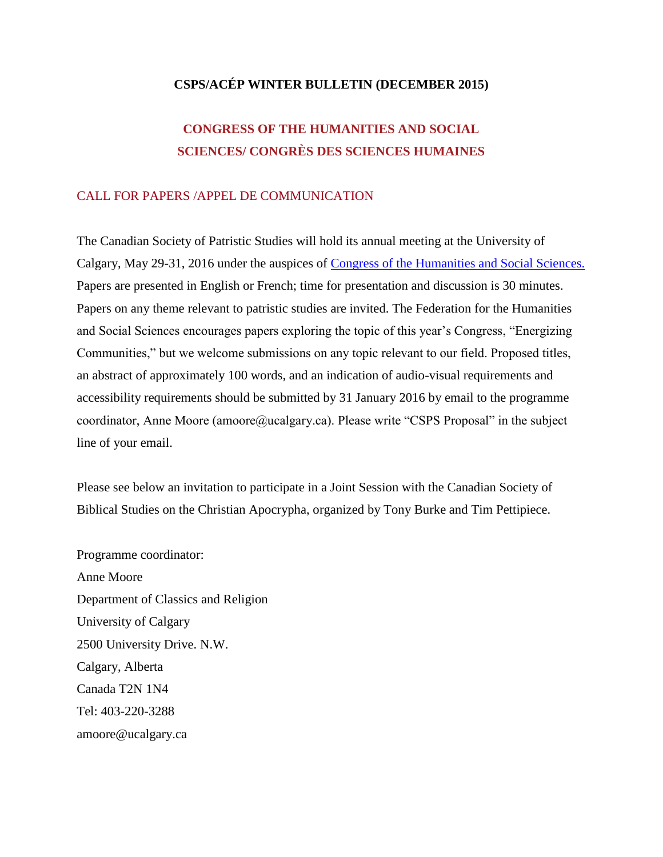# **CSPS/ACÉP WINTER BULLETIN (DECEMBER 2015)**

# **CONGRESS OF THE HUMANITIES AND SOCIAL SCIENCES/ CONGRÈS DES SCIENCES HUMAINES**

# CALL FOR PAPERS /APPEL DE COMMUNICATION

The Canadian Society of Patristic Studies will hold its annual meeting at the University of Calgary, May 29-31, 2016 under the auspices of [Congress of the Humanities and Social Sciences.](http://congress2015.ca/) Papers are presented in English or French; time for presentation and discussion is 30 minutes. Papers on any theme relevant to patristic studies are invited. The Federation for the Humanities and Social Sciences encourages papers exploring the topic of this year's Congress, "Energizing Communities," but we welcome submissions on any topic relevant to our field. Proposed titles, an abstract of approximately 100 words, and an indication of audio-visual requirements and accessibility requirements should be submitted by 31 January 2016 by email to the programme coordinator, Anne Moore (amoore@ucalgary.ca). Please write "CSPS Proposal" in the subject line of your email.

Please see below an invitation to participate in a Joint Session with the Canadian Society of Biblical Studies on the Christian Apocrypha, organized by Tony Burke and Tim Pettipiece.

Programme coordinator: Anne Moore Department of Classics and Religion University of Calgary 2500 University Drive. N.W. Calgary, Alberta Canada T2N 1N4 Tel: 403-220-3288 amoore@ucalgary.ca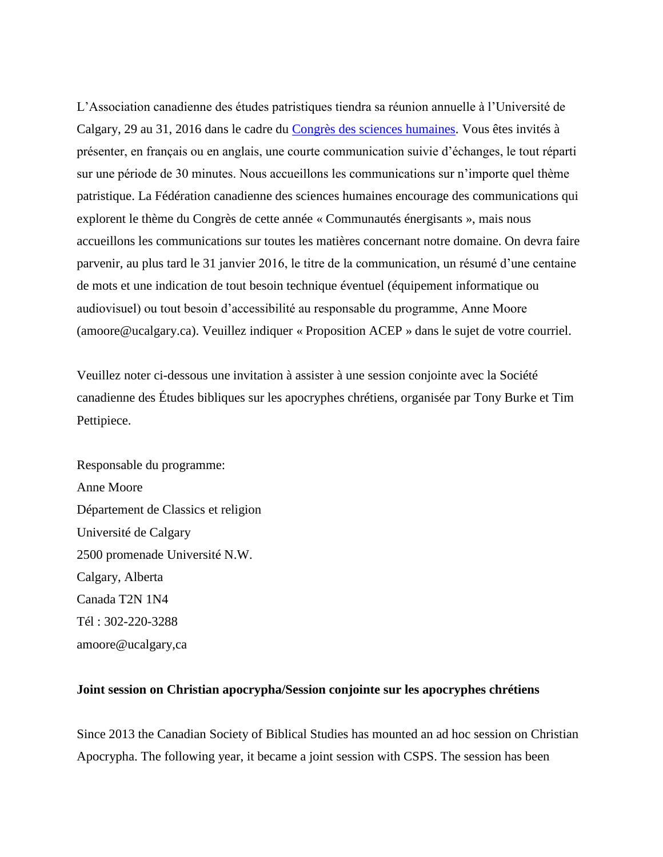L'Association canadienne des études patristiques tiendra sa réunion annuelle à l'Université de Calgary, 29 au 31, 2016 dans le cadre du [Congrès des sciences humaines.](http://congres2015.ca/accueil) Vous êtes invités à présenter, en français ou en anglais, une courte communication suivie d'échanges, le tout réparti sur une période de 30 minutes. Nous accueillons les communications sur n'importe quel thème patristique. La Fédération canadienne des sciences humaines encourage des communications qui explorent le thème du Congrès de cette année « Communautés énergisants », mais nous accueillons les communications sur toutes les matières concernant notre domaine. On devra faire parvenir, au plus tard le 31 janvier 2016, le titre de la communication, un résumé d'une centaine de mots et une indication de tout besoin technique éventuel (équipement informatique ou audiovisuel) ou tout besoin d'accessibilité au responsable du programme, Anne Moore (amoore@ucalgary.ca). Veuillez indiquer « Proposition ACEP » dans le sujet de votre courriel.

Veuillez noter ci-dessous une invitation à assister à une session conjointe avec la Société canadienne des Études bibliques sur les apocryphes chrétiens, organisée par Tony Burke et Tim Pettipiece.

Responsable du programme: Anne Moore Département de Classics et religion Université de Calgary 2500 promenade Université N.W. Calgary, Alberta Canada T2N 1N4 Tél : 302-220-3288 amoore@ucalgary,ca

### **Joint session on Christian apocrypha/Session conjointe sur les apocryphes chrétiens**

Since 2013 the Canadian Society of Biblical Studies has mounted an ad hoc session on Christian Apocrypha. The following year, it became a joint session with CSPS. The session has been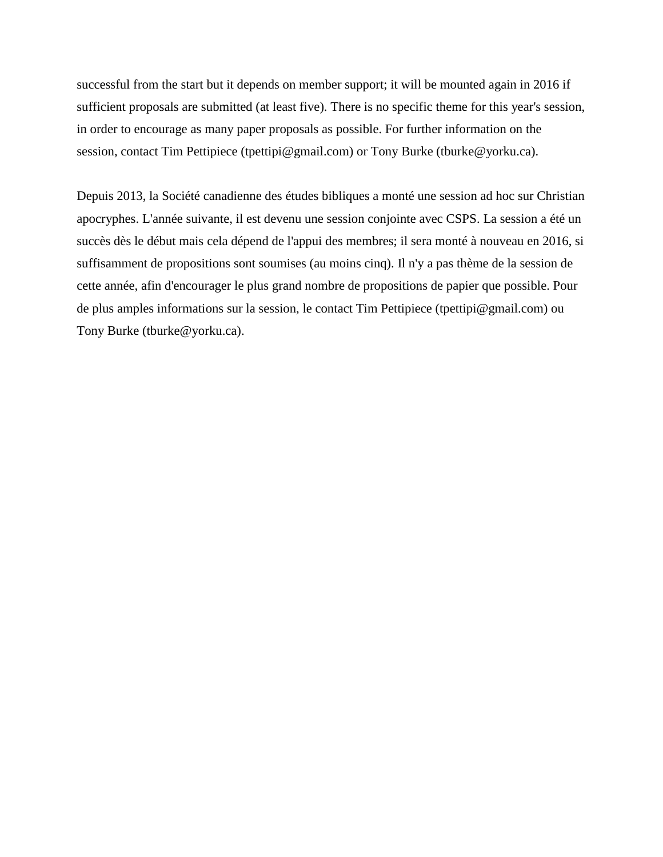successful from the start but it depends on member support; it will be mounted again in 2016 if sufficient proposals are submitted (at least five). There is no specific theme for this year's session, in order to encourage as many paper proposals as possible. For further information on the session, contact Tim Pettipiece (tpettipi@gmail.com) or Tony Burke (tburke@yorku.ca).

Depuis 2013, la Société canadienne des études bibliques a monté une session ad hoc sur Christian apocryphes. L'année suivante, il est devenu une session conjointe avec CSPS. La session a été un succès dès le début mais cela dépend de l'appui des membres; il sera monté à nouveau en 2016, si suffisamment de propositions sont soumises (au moins cinq). Il n'y a pas thème de la session de cette année, afin d'encourager le plus grand nombre de propositions de papier que possible. Pour de plus amples informations sur la session, le contact Tim Pettipiece (tpettipi@gmail.com) ou Tony Burke (tburke@yorku.ca).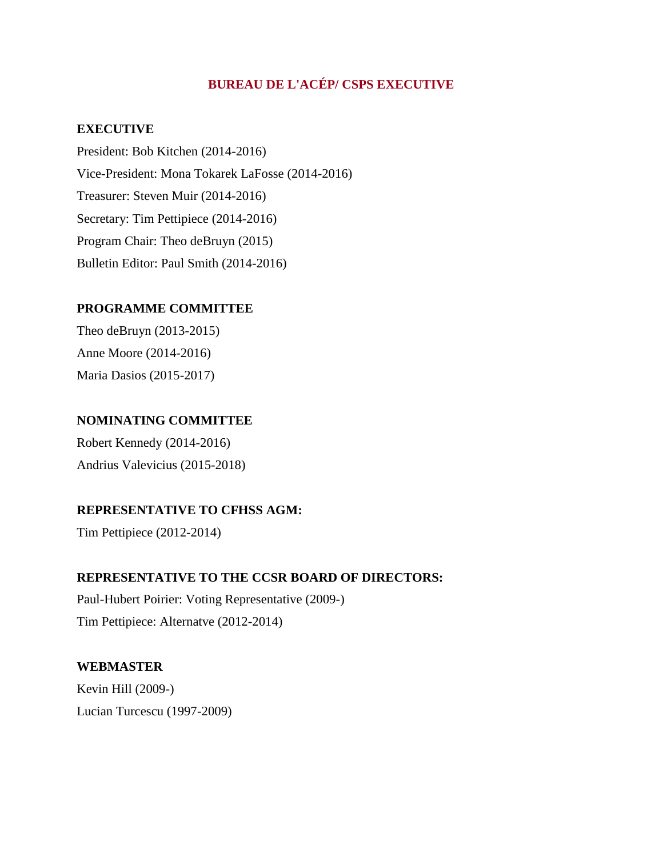# **BUREAU DE L'ACÉP/ CSPS EXECUTIVE**

### **EXECUTIVE**

President: Bob Kitchen (2014-2016) Vice-President: Mona Tokarek LaFosse (2014-2016) Treasurer: Steven Muir (2014-2016) Secretary: Tim Pettipiece (2014-2016) Program Chair: Theo deBruyn (2015) Bulletin Editor: Paul Smith (2014-2016)

### **PROGRAMME COMMITTEE**

Theo deBruyn (2013-2015) Anne Moore (2014-2016) Maria Dasios (2015-2017)

# **NOMINATING COMMITTEE**

Robert Kennedy (2014-2016) Andrius Valevicius (2015-2018)

# **REPRESENTATIVE TO CFHSS AGM:**

Tim Pettipiece (2012-2014)

### **REPRESENTATIVE TO THE CCSR BOARD OF DIRECTORS:**

Paul-Hubert Poirier: Voting Representative (2009-) Tim Pettipiece: Alternatve (2012-2014)

# **WEBMASTER**

Kevin Hill (2009-) Lucian Turcescu (1997-2009)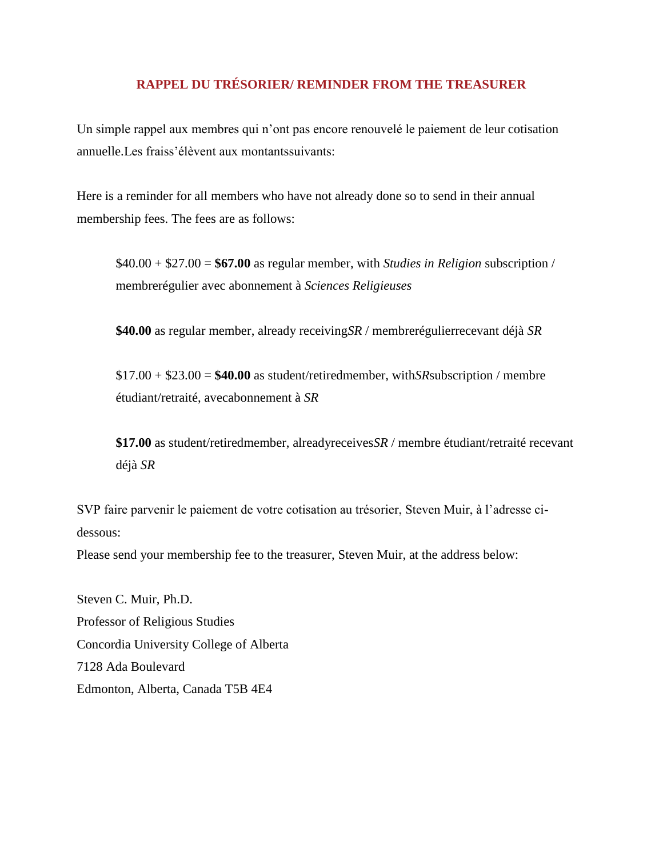# **RAPPEL DU TRÉSORIER/ REMINDER FROM THE TREASURER**

Un simple rappel aux membres qui n'ont pas encore renouvelé le paiement de leur cotisation annuelle.Les fraiss'élèvent aux montantssuivants:

Here is a reminder for all members who have not already done so to send in their annual membership fees. The fees are as follows:

\$40.00 + \$27.00 = **\$67.00** as regular member, with *Studies in Religion* subscription / membrerégulier avec abonnement à *Sciences Religieuses*

**\$40.00** as regular member, already receiving*SR* / membrerégulierrecevant déjà *SR*

\$17.00 + \$23.00 = **\$40.00** as student/retiredmember, with*SR*subscription / membre étudiant/retraité, avecabonnement à *SR*

**\$17.00** as student/retiredmember, alreadyreceives*SR* / membre étudiant/retraité recevant déjà *SR*

SVP faire parvenir le paiement de votre cotisation au trésorier, Steven Muir, à l'adresse cidessous:

Please send your membership fee to the treasurer, Steven Muir, at the address below:

Steven C. Muir, Ph.D. Professor of Religious Studies Concordia University College of Alberta 7128 Ada Boulevard Edmonton, Alberta, Canada T5B 4E4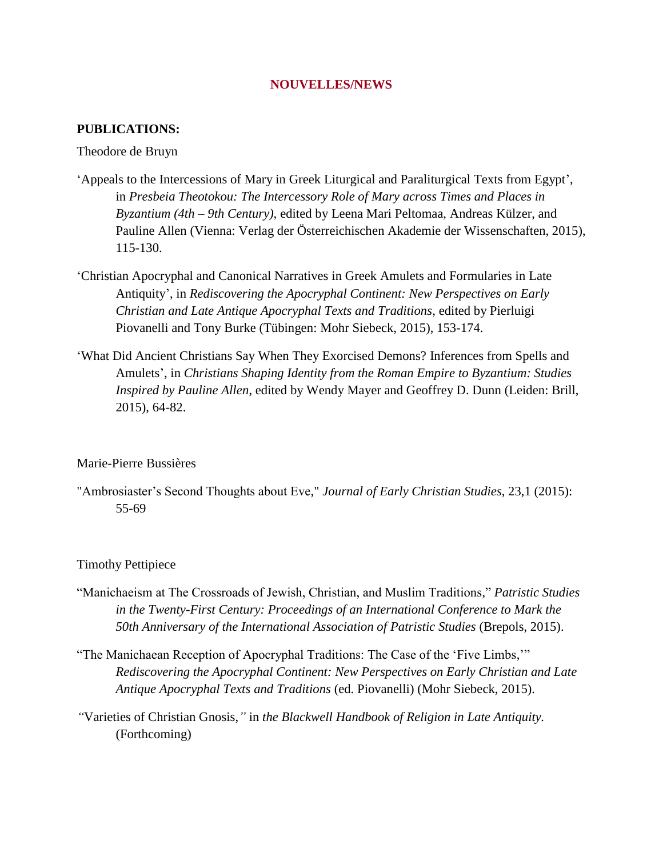### **NOUVELLES/NEWS**

### **PUBLICATIONS:**

#### Theodore de Bruyn

- 'Appeals to the Intercessions of Mary in Greek Liturgical and Paraliturgical Texts from Egypt', in *Presbeia Theotokou: The Intercessory Role of Mary across Times and Places in Byzantium (4th – 9th Century)*, edited by Leena Mari Peltomaa, Andreas Külzer, and Pauline Allen (Vienna: Verlag der Österreichischen Akademie der Wissenschaften, 2015), 115-130.
- 'Christian Apocryphal and Canonical Narratives in Greek Amulets and Formularies in Late Antiquity', in *Rediscovering the Apocryphal Continent: New Perspectives on Early Christian and Late Antique Apocryphal Texts and Traditions*, edited by Pierluigi Piovanelli and Tony Burke (Tübingen: Mohr Siebeck, 2015), 153-174.
- 'What Did Ancient Christians Say When They Exorcised Demons? Inferences from Spells and Amulets', in *Christians Shaping Identity from the Roman Empire to Byzantium: Studies Inspired by Pauline Allen*, edited by Wendy Mayer and Geoffrey D. Dunn (Leiden: Brill, 2015), 64-82.

#### Marie-Pierre Bussières

"Ambrosiaster's Second Thoughts about Eve," *Journal of Early Christian Studies*, 23,1 (2015): 55-69

#### Timothy Pettipiece

- "Manichaeism at The Crossroads of Jewish, Christian, and Muslim Traditions," *Patristic Studies in the Twenty-First Century: Proceedings of an International Conference to Mark the 50th Anniversary of the International Association of Patristic Studies* (Brepols, 2015).
- "The Manichaean Reception of Apocryphal Traditions: The Case of the 'Five Limbs,'" *Rediscovering the Apocryphal Continent: New Perspectives on Early Christian and Late Antique Apocryphal Texts and Traditions* (ed. Piovanelli) (Mohr Siebeck, 2015).
- *"*Varieties of Christian Gnosis,*"* in *the Blackwell Handbook of Religion in Late Antiquity.* (Forthcoming)